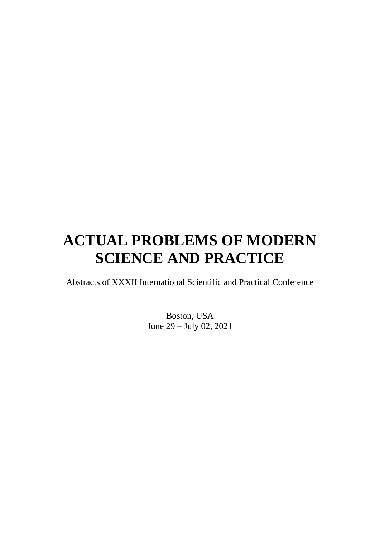# **ACTUAL PROBLEMS OF MODERN SCIENCE AND PRACTICE**

Abstracts of XXXII International Scientific and Practical Conference

Boston, USA June 29 – July 02, 2021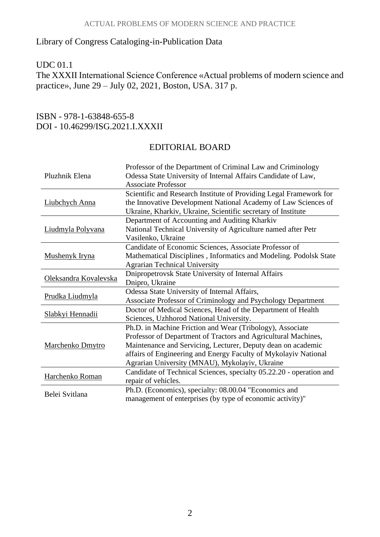#### Library of Congress Cataloging-in-Publication Data

# UDC 01.1

The XXXII International Science Conference «Actual problems of modern science and practice», June 29 – July 02, 2021, Boston, USA. 317 p.

# ISBN - 978-1-63848-655-8 DOI - 10.46299/ISG.2021.I.XXXII

## EDITORIAL BOARD

| Pluzhnik Elena          | Professor of the Department of Criminal Law and Criminology<br>Odessa State University of Internal Affairs Candidate of Law,<br><b>Associate Professor</b>                                                                                                                                                       |
|-------------------------|------------------------------------------------------------------------------------------------------------------------------------------------------------------------------------------------------------------------------------------------------------------------------------------------------------------|
| Liubchych Anna          | Scientific and Research Institute of Providing Legal Framework for<br>the Innovative Development National Academy of Law Sciences of<br>Ukraine, Kharkiv, Ukraine, Scientific secretary of Institute                                                                                                             |
| Liudmyla Polyvana       | Department of Accounting and Auditing Kharkiv<br>National Technical University of Agriculture named after Petr<br>Vasilenko, Ukraine                                                                                                                                                                             |
| Mushenyk Iryna          | Candidate of Economic Sciences, Associate Professor of<br>Mathematical Disciplines, Informatics and Modeling. Podolsk State<br><b>Agrarian Technical University</b>                                                                                                                                              |
| Oleksandra Kovalevska   | Dnipropetrovsk State University of Internal Affairs<br>Dnipro, Ukraine                                                                                                                                                                                                                                           |
| Prudka Liudmyla         | Odessa State University of Internal Affairs,<br>Associate Professor of Criminology and Psychology Department                                                                                                                                                                                                     |
| Slabkyi Hennadii        | Doctor of Medical Sciences, Head of the Department of Health<br>Sciences, Uzhhorod National University.                                                                                                                                                                                                          |
| <b>Marchenko Dmytro</b> | Ph.D. in Machine Friction and Wear (Tribology), Associate<br>Professor of Department of Tractors and Agricultural Machines,<br>Maintenance and Servicing, Lecturer, Deputy dean on academic<br>affairs of Engineering and Energy Faculty of Mykolayiv National<br>Agrarian University (MNAU), Mykolayiv, Ukraine |
| Harchenko Roman         | Candidate of Technical Sciences, specialty 05.22.20 - operation and<br>repair of vehicles.                                                                                                                                                                                                                       |
| Belei Svitlana          | Ph.D. (Economics), specialty: 08.00.04 "Economics and<br>management of enterprises (by type of economic activity)"                                                                                                                                                                                               |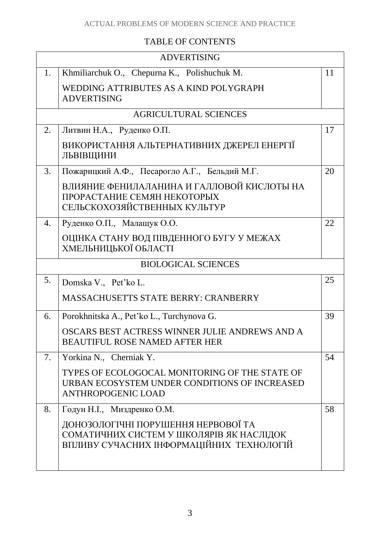#### ACTUAL PROBLEMS OF MODERN SCIENCE AND PRACTICE

# TABLE OF CONTENTS

| <b>ADVERTISING</b> |                                                                                                                              |    |  |
|--------------------|------------------------------------------------------------------------------------------------------------------------------|----|--|
| 1.                 | Khmiliarchuk O., Chepurna K., Polishuchuk M.                                                                                 | 11 |  |
|                    | WEDDING ATTRIBUTES AS A KIND POLYGRAPH<br><b>ADVERTISING</b>                                                                 |    |  |
|                    | <b>AGRICULTURAL SCIENCES</b>                                                                                                 |    |  |
| 2.                 | Литвин Н.А., Руденко О.П.                                                                                                    | 17 |  |
|                    | ВИКОРИСТАННЯ АЛЬТЕРНАТИВНИХ ДЖЕРЕЛ ЕНЕРГІЇ<br>ЛЬВІВЩИНИ                                                                      |    |  |
| 3.                 | Пожарицкий А.Ф., Песарогло А.Г., Бельдий М.Г.                                                                                | 20 |  |
|                    | ВЛИЯНИЕ ФЕНИЛАЛАНИНА И ГАЛЛОВОЙ КИСЛОТЫ НА<br>ПРОРАСТАНИЕ СЕМЯН НЕКОТОРЫХ<br>СЕЛЬСКОХОЗЯЙСТВЕННЫХ КУЛЬТУР                    |    |  |
| 4.                 | Руденко О.П., Малащук О.О.                                                                                                   | 22 |  |
|                    | ОЦІНКА СТАНУ ВОД ПІВДЕННОГО БУГУ У МЕЖАХ<br>ХМЕЛЬНИЦЬКОЇ ОБЛАСТІ                                                             |    |  |
|                    | <b>BIOLOGICAL SCIENCES</b>                                                                                                   |    |  |
| 5.                 | Domska V., Pet'ko L.                                                                                                         | 25 |  |
|                    | <b>MASSACHUSETTS STATE BERRY: CRANBERRY</b>                                                                                  |    |  |
| 6.                 | Porokhnitska A., Pet'ko L., Turchynova G.                                                                                    | 39 |  |
|                    | OSCARS BEST ACTRESS WINNER JULIE ANDREWS AND A<br><b>BEAUTIFUL ROSE NAMED AFTER HER</b>                                      |    |  |
| 7.                 | Yorkina N., Cherniak Y.                                                                                                      | 54 |  |
|                    | TYPES OF ECOLOGOCAL MONITORING OF THE STATE OF<br>URBAN ECOSYSTEM UNDER CONDITIONS OF INCREASED<br><b>ANTHROPOGENIC LOAD</b> |    |  |
| 8.                 | Годун Н.І., Миздренко О.М.                                                                                                   | 58 |  |
|                    | ДОНОЗОЛОГІЧНІ ПОРУШЕННЯ НЕРВОВОЇ ТА<br>СОМАТИЧНИХ СИСТЕМ У ШКОЛЯРІВ ЯК НАСЛІДОК<br>ВПЛИВУ СУЧАСНИХ ІНФОРМАЦІЙНИХ ТЕХНОЛОГІЙ  |    |  |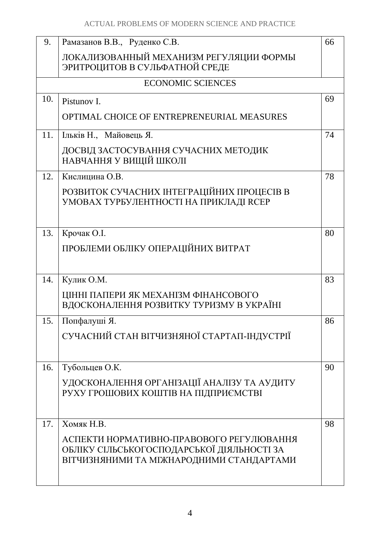| 66<br>ЛОКАЛИЗОВАННЫЙ МЕХАНИЗМ РЕГУЛЯЦИИ ФОРМЫ<br>69<br>74                                  |
|--------------------------------------------------------------------------------------------|
|                                                                                            |
|                                                                                            |
|                                                                                            |
|                                                                                            |
|                                                                                            |
|                                                                                            |
|                                                                                            |
| 78                                                                                         |
|                                                                                            |
| 80                                                                                         |
|                                                                                            |
| 83                                                                                         |
|                                                                                            |
| 86                                                                                         |
|                                                                                            |
| 90                                                                                         |
|                                                                                            |
| 98                                                                                         |
| АСПЕКТИ НОРМАТИВНО-ПРАВОВОГО РЕГУЛЮВАННЯ<br>ВІТЧИЗНЯНИМИ ТА МІЖНАРОДНИМИ СТАНДАРТАМИ       |
| СУЧАСНИЙ СТАН ВІТЧИЗНЯНОЇ СТАРТАП-ІНДУСТРІЇ<br>УДОСКОНАЛЕННЯ ОРГАНІЗАЦІЇ АНАЛІЗУ ТА АУДИТУ |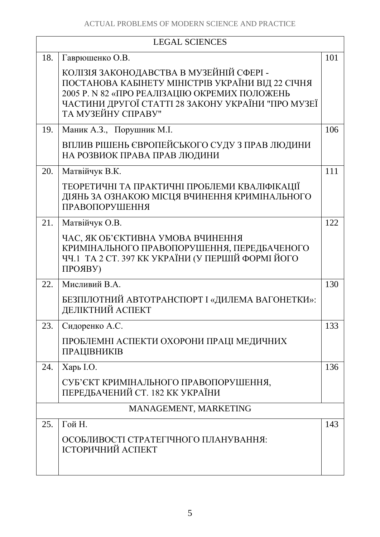| <b>LEGAL SCIENCES</b> |                                                                                                                                                                                                                            |     |
|-----------------------|----------------------------------------------------------------------------------------------------------------------------------------------------------------------------------------------------------------------------|-----|
| 18.                   | Гаврюшенко О.В.                                                                                                                                                                                                            | 101 |
|                       | КОЛІЗІЯ ЗАКОНОДАВСТВА В МУЗЕЙНІЙ СФЕРІ -<br>ПОСТАНОВА КАБІНЕТУ МІНІСТРІВ УКРАЇНИ ВІД 22 СІЧНЯ<br>2005 P. N 82 «ПРО РЕАЛІЗАЦІЮ ОКРЕМИХ ПОЛОЖЕНЬ<br>ЧАСТИНИ ДРУГОЇ СТАТТІ 28 ЗАКОНУ УКРАЇНИ "ПРО МУЗЕЇ<br>ТА МУЗЕЙНУ СПРАВУ" |     |
| 19.                   | Маник А.З., Порушник М.І.                                                                                                                                                                                                  | 106 |
|                       | ВПЛИВ РІШЕНЬ ЄВРОПЕЙСЬКОГО СУДУ З ПРАВ ЛЮДИНИ<br>НА РОЗВИОК ПРАВА ПРАВ ЛЮДИНИ                                                                                                                                              |     |
| 20.                   | Матвійчук В.К.                                                                                                                                                                                                             | 111 |
|                       | ТЕОРЕТИЧНІ ТА ПРАКТИЧНІ ПРОБЛЕМИ КВАЛІФІКАЦІЇ<br>ДІЯНЬ ЗА ОЗНАКОЮ МІСЦЯ ВЧИНЕННЯ КРИМІНАЛЬНОГО<br>ПРАВОПОРУШЕННЯ                                                                                                           |     |
| 21.                   | Матвійчук О.В.                                                                                                                                                                                                             | 122 |
|                       | ЧАС, ЯК ОБ'ЄКТИВНА УМОВА ВЧИНЕННЯ<br>КРИМІНАЛЬНОГО ПРАВОПОРУШЕННЯ, ПЕРЕДБАЧЕНОГО<br>ЧЧ.1 ТА 2 СТ. 397 КК УКРАЇНИ (У ПЕРШІЙ ФОРМІ ЙОГО<br>ПРОЯВУ)                                                                           |     |
| 22.                   | Мисливий В.А.                                                                                                                                                                                                              | 130 |
|                       | БЕЗПІЛОТНИЙ АВТОТРАНСПОРТ І «ДИЛЕМА ВАГОНЕТКИ»:<br>ДЕЛІКТНИЙ АСПЕКТ                                                                                                                                                        |     |
| 23.                   | Сидоренко А.С.                                                                                                                                                                                                             | 133 |
|                       | ПРОБЛЕМНІ АСПЕКТИ ОХОРОНИ ПРАЦІ МЕДИЧНИХ<br>ПРАЦІВНИКІВ                                                                                                                                                                    |     |
| 24.                   | Харь І.О.                                                                                                                                                                                                                  | 136 |
|                       | СУБ'ЄКТ КРИМІНАЛЬНОГО ПРАВОПОРУШЕННЯ,<br>ПЕРЕДБАЧЕНИЙ СТ. 182 КК УКРАЇНИ                                                                                                                                                   |     |
| MANAGEMENT, MARKETING |                                                                                                                                                                                                                            |     |
| 25.                   | Гой Н.                                                                                                                                                                                                                     | 143 |
|                       | ОСОБЛИВОСТІ СТРАТЕГІЧНОГО ПЛАНУВАННЯ:<br>ІСТОРИЧНИЙ АСПЕКТ                                                                                                                                                                 |     |
|                       |                                                                                                                                                                                                                            |     |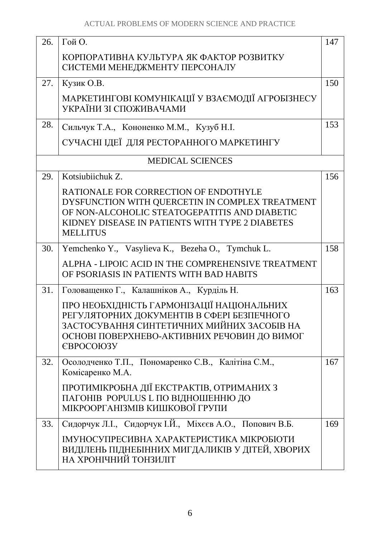| 26. | Гой О.                                                                                                                                                                                                          | 147 |
|-----|-----------------------------------------------------------------------------------------------------------------------------------------------------------------------------------------------------------------|-----|
|     | КОРПОРАТИВНА КУЛЬТУРА ЯК ФАКТОР РОЗВИТКУ<br>СИСТЕМИ МЕНЕДЖМЕНТУ ПЕРСОНАЛУ                                                                                                                                       |     |
| 27. | Кузик О.В.                                                                                                                                                                                                      | 150 |
|     | МАРКЕТИНГОВІ КОМУНІКАЦІЇ У ВЗАЄМОДІЇ АГРОБІЗНЕСУ<br>УКРАЇНИ ЗІ СПОЖИВАЧАМИ                                                                                                                                      |     |
| 28. | Сильчук Т.А., Кононенко М.М., Кузуб Н.І.                                                                                                                                                                        | 153 |
|     | СУЧАСНІ ІДЕЇ ДЛЯ РЕСТОРАННОГО МАРКЕТИНГУ                                                                                                                                                                        |     |
|     | <b>MEDICAL SCIENCES</b>                                                                                                                                                                                         |     |
| 29. | Kotsiubiichuk Z.                                                                                                                                                                                                | 156 |
|     | RATIONALE FOR CORRECTION OF ENDOTHYLE<br>DYSFUNCTION WITH QUERCETIN IN COMPLEX TREATMENT<br>OF NON-ALCOHOLIC STEATOGEPATITIS AND DIABETIC<br>KIDNEY DISEASE IN PATIENTS WITH TYPE 2 DIABETES<br><b>MELLITUS</b> |     |
| 30. | Yemchenko Y., Vasylieva K., Bezeha O., Tymchuk L.                                                                                                                                                               | 158 |
|     | ALPHA - LIPOIC ACID IN THE COMPREHENSIVE TREATMENT<br>OF PSORIASIS IN PATIENTS WITH BAD HABITS                                                                                                                  |     |
| 31. | Головащенко Г., Калашніков А., Курділь Н.                                                                                                                                                                       | 163 |
|     | ПРО НЕОБХІДНІСТЬ ГАРМОНІЗАЦІЇ НАЦІОНАЛЬНИХ<br>РЕГУЛЯТОРНИХ ДОКУМЕНТІВ В СФЕРІ БЕЗПЕЧНОГО<br>ЗАСТОСУВАННЯ СИНТЕТИЧНИХ МИЙНИХ ЗАСОБІВ НА<br>ОСНОВІ ПОВЕРХНЕВО-АКТИВНИХ РЕЧОВИН ДО ВИМОГ<br><b>ЄВРОСОЮЗУ</b>       |     |
| 32. | Осолодченко Т.П., Пономаренко С.В., Калітіна С.М.,<br>Комісаренко М.А.                                                                                                                                          | 167 |
|     | ПРОТИМІКРОБНА ДІЇ ЕКСТРАКТІВ, ОТРИМАНИХ З<br>ПАГОНІВ POPULUS L ПО ВІДНОШЕННЮ ДО<br>МІКРООРГАНІЗМІВ КИШКОВОЇ ГРУПИ                                                                                               |     |
| 33. | Сидорчук Л.І., Сидорчук І.Й., Міхєєв А.О., Попович В.Б.                                                                                                                                                         | 169 |
|     | ІМУНОСУПРЕСИВНА ХАРАКТЕРИСТИКА МІКРОБІОТИ<br>ВИДІЛЕНЬ ПІДНЕБІННИХ МИГДАЛИКІВ У ДІТЕЙ, ХВОРИХ<br>НА ХРОНІЧНИЙ ТОНЗИЛІТ                                                                                           |     |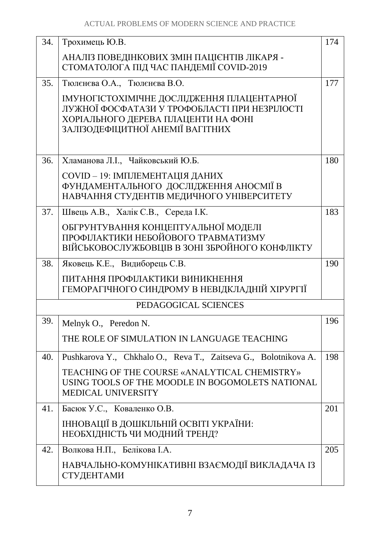| 34. | Трохимець Ю.В.                                                                                                                                                         | 174 |
|-----|------------------------------------------------------------------------------------------------------------------------------------------------------------------------|-----|
|     | АНАЛІЗ ПОВЕДІНКОВИХ ЗМІН ПАЦІЄНТІВ ЛІКАРЯ -<br>СТОМАТОЛОГА ПІД ЧАС ПАНДЕМІЇ COVID-2019                                                                                 |     |
| 35. | Тюлєнєва О.А., Тюлєнєва В.О.                                                                                                                                           | 177 |
|     | ІМУНОГІСТОХІМІЧНЕ ДОСЛІДЖЕННЯ ПЛАЦЕНТАРНОЇ<br>ЛУЖНОЇ ФОСФАТАЗИ У ТРОФОБЛАСТІ ПРИ НЕЗРІЛОСТІ<br>ХОРІАЛЬНОГО ДЕРЕВА ПЛАЦЕНТИ НА ФОНІ<br>ЗАЛІЗОДЕФІЦИТНОЇ АНЕМІЇ ВАГІТНИХ |     |
| 36. | Хламанова Л.І., Чайковський Ю.Б.                                                                                                                                       | 180 |
|     | COVID - 19: ІМПЛЕМЕНТАЦІЯ ДАНИХ<br>ФУНДАМЕНТАЛЬНОГО ДОСЛІДЖЕННЯ АНОСМІЇ В<br>НАВЧАННЯ СТУДЕНТІВ МЕДИЧНОГО УНІВЕРСИТЕТУ                                                 |     |
| 37. | Швець А.В., Халік С.В., Середа І.К.                                                                                                                                    | 183 |
|     | ОБГРУНТУВАННЯ КОНЦЕПТУАЛЬНОЇ МОДЕЛІ<br>ПРОФІЛАКТИКИ НЕБОЙОВОГО ТРАВМАТИЗМУ<br>ВІЙСЬКОВОСЛУЖБОВЦІВ В ЗОНІ ЗБРОЙНОГО КОНФЛІКТУ                                           |     |
| 38. | Яковець К.Е., Видиборець С.В.                                                                                                                                          | 190 |
|     | ПИТАННЯ ПРОФІЛАКТИКИ ВИНИКНЕННЯ<br>ГЕМОРАГІЧНОГО СИНДРОМУ В НЕВІДКЛАДНІЙ ХІРУРГІЇ                                                                                      |     |
|     | PEDAGOGICAL SCIENCES                                                                                                                                                   |     |
| 39. | Melnyk O., Peredon N.                                                                                                                                                  | 196 |
|     | THE ROLE OF SIMULATION IN LANGUAGE TEACHING                                                                                                                            |     |
| 40. | Pushkarova Y., Chkhalo O., Reva T., Zaitseva G., Bolotnikova A.                                                                                                        | 198 |
|     | TEACHING OF THE COURSE «ANALYTICAL CHEMISTRY»<br>USING TOOLS OF THE MOODLE IN BOGOMOLETS NATIONAL<br><b>MEDICAL UNIVERSITY</b>                                         |     |
| 41. | Басюк У.С., Коваленко О.В.                                                                                                                                             | 201 |
|     | ІННОВАЦІЇ В ДОШКІЛЬНІЙ ОСВІТІ УКРАЇНИ:<br>НЕОБХІДНІСТЬ ЧИ МОДНИЙ ТРЕНД?                                                                                                |     |
| 42. | Волкова Н.П., Белікова І.А.                                                                                                                                            | 205 |
|     | НАВЧАЛЬНО-КОМУНІКАТИВНІ ВЗАЄМОДІЇ ВИКЛАДАЧА ІЗ<br>СТУДЕНТАМИ                                                                                                           |     |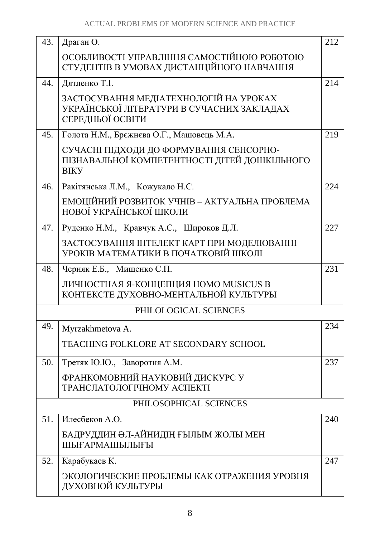| 43. | Драган О.                                                                                                | 212 |
|-----|----------------------------------------------------------------------------------------------------------|-----|
|     | ОСОБЛИВОСТІ УПРАВЛІННЯ САМОСТІЙНОЮ РОБОТОЮ<br>СТУДЕНТІВ В УМОВАХ ДИСТАНЦІЙНОГО НАВЧАННЯ                  |     |
| 44. | Дятленко Т.І.                                                                                            | 214 |
|     | ЗАСТОСУВАННЯ МЕДІАТЕХНОЛОГІЙ НА УРОКАХ<br>УКРАЇНСЬКОЇ ЛІТЕРАТУРИ В СУЧАСНИХ ЗАКЛАДАХ<br>СЕРЕДНЬОЇ ОСВІТИ |     |
| 45. | Голота Н.М., Брежнєва О.Г., Машовець М.А.                                                                | 219 |
|     | СУЧАСНІ ПІДХОДИ ДО ФОРМУВАННЯ СЕНСОРНО-<br>ПІЗНАВАЛЬНОЇ КОМПЕТЕНТНОСТІ ДІТЕЙ ДОШКІЛЬНОГО<br><b>BIKY</b>  |     |
| 46. | Ракітянська Л.М., Кожукало Н.С.                                                                          | 224 |
|     | ЕМОЦІЙНИЙ РОЗВИТОК УЧНІВ – АКТУАЛЬНА ПРОБЛЕМА<br>НОВОЇ УКРАЇНСЬКОЇ ШКОЛИ                                 |     |
| 47. | Руденко Н.М., Кравчук А.С., Широков Д.Л.                                                                 | 227 |
|     | ЗАСТОСУВАННЯ ІНТЕЛЕКТ КАРТ ПРИ МОДЕЛЮВАННІ<br>УРОКІВ МАТЕМАТИКИ В ПОЧАТКОВІЙ ШКОЛІ                       |     |
| 48. | Черняк Е.Б., Мищенко С.П.                                                                                | 231 |
|     | ЛИЧНОСТНАЯ Я-КОНЦЕПЦИЯ HOMO MUSICUS В<br>КОНТЕКСТЕ ДУХОВНО-МЕНТАЛЬНОЙ КУЛЬТУРЫ                           |     |
|     | PHILOLOGICAL SCIENCES                                                                                    |     |
| 49. | Myrzakhmetova A.                                                                                         | 234 |
|     | <b>TEACHING FOLKLORE AT SECONDARY SCHOOL</b>                                                             |     |
| 50. | Третяк Ю.Ю., Заворотня А.М.                                                                              | 237 |
|     | ФРАНКОМОВНИЙ НАУКОВИЙ ДИСКУРС У<br>ТРАНСЛАТОЛОГІЧНОМУ АСПЕКТІ                                            |     |
|     | PHILOSOPHICAL SCIENCES                                                                                   |     |
| 51. | Илесбеков А.О.                                                                                           | 240 |
|     | БАДРУДДИН ӘЛ-АЙНИДІҢ ҒЫЛЫМ ЖОЛЫ МЕН<br>ШЫҒАРМАШЫЛЫҒЫ                                                     |     |
| 52. | Карабукаев К.                                                                                            | 247 |
|     | ЭКОЛОГИЧЕСКИЕ ПРОБЛЕМЫ КАК ОТРАЖЕНИЯ УРОВНЯ<br>ДУХОВНОЙ КУЛЬТУРЫ                                         |     |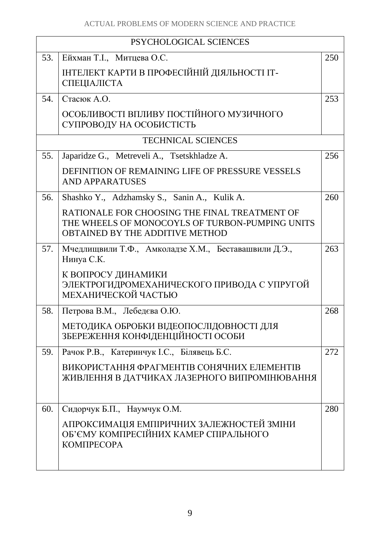| PSYCHOLOGICAL SCIENCES |                                                                                                                                            |     |
|------------------------|--------------------------------------------------------------------------------------------------------------------------------------------|-----|
| 53.                    | Ейхман Т.I., Митцева О.С.                                                                                                                  | 250 |
|                        | ІНТЕЛЕКТ КАРТИ В ПРОФЕСІЙНІЙ ДІЯЛЬНОСТІ ІТ-<br>СПЕЦІАЛІСТА                                                                                 |     |
| 54.                    | Стасюк А.О.                                                                                                                                | 253 |
|                        | ОСОБЛИВОСТІ ВПЛИВУ ПОСТІЙНОГО МУЗИЧНОГО<br>СУПРОВОДУ НА ОСОБИСТІСТЬ                                                                        |     |
|                        | <b>TECHNICAL SCIENCES</b>                                                                                                                  |     |
| 55.                    | Japaridze G., Metreveli A., Tsetskhladze A.                                                                                                | 256 |
|                        | DEFINITION OF REMAINING LIFE OF PRESSURE VESSELS<br><b>AND APPARATUSES</b>                                                                 |     |
| 56.                    | Shashko Y., Adzhamsky S., Sanin A., Kulik A.                                                                                               | 260 |
|                        | RATIONALE FOR CHOOSING THE FINAL TREATMENT OF<br>THE WHEELS OF MONOCOYLS OF TURBON-PUMPING UNITS<br><b>OBTAINED BY THE ADDITIVE METHOD</b> |     |
| 57.                    | Мчедлищвили Т.Ф., Амколадзе Х.М., Беставашвили Д.Э.,<br>Нинуа С.К.                                                                         | 263 |
|                        | К ВОПРОСУ ДИНАМИКИ<br>ЭЛЕКТРОГИДРОМЕХАНИЧЕСКОГО ПРИВОДА С УПРУГОЙ<br>МЕХАНИЧЕСКОЙ ЧАСТЬЮ                                                   |     |
| 58.                    | Петрова В.М., Лебедєва О.Ю.                                                                                                                | 268 |
|                        | МЕТОДИКА ОБРОБКИ ВІДЕОПОСЛІДОВНОСТІ ДЛЯ<br>ЗБЕРЕЖЕННЯ КОНФІДЕНЦІЙНОСТІ ОСОБИ                                                               |     |
| 59.                    | Рачок Р.В., Катеринчук І.С., Білявець Б.С.                                                                                                 | 272 |
|                        | ВИКОРИСТАННЯ ФРАГМЕНТІВ СОНЯЧНИХ ЕЛЕМЕНТІВ<br>ЖИВЛЕННЯ В ДАТЧИКАХ ЛАЗЕРНОГО ВИПРОМІНЮВАННЯ                                                 |     |
| 60.                    | Сидорчук Б.П., Наумчук О.М.                                                                                                                | 280 |
|                        | АПРОКСИМАЦІЯ ЕМПІРИЧНИХ ЗАЛЕЖНОСТЕЙ ЗМІНИ<br>ОБ'ЄМУ КОМПРЕСІЙНИХ КАМЕР СПІРАЛЬНОГО<br><b>KOMITPECOPA</b>                                   |     |
|                        |                                                                                                                                            |     |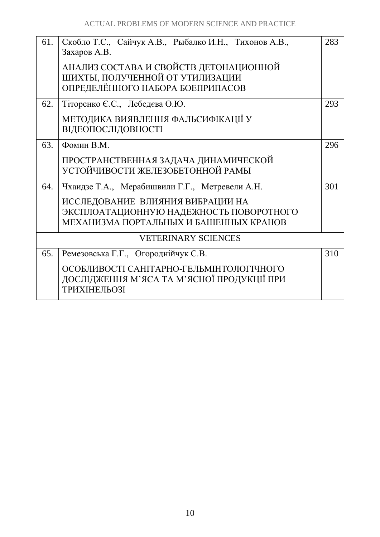| 61. | Скобло Т.С., Сайчук А.В., Рыбалко И.Н., Тихонов А.В.,<br>Захаров А.В.                                         | 283 |
|-----|---------------------------------------------------------------------------------------------------------------|-----|
|     | АНАЛИЗ СОСТАВА И СВОЙСТВ ДЕТОНАЦИОННОЙ<br>ШИХТЫ, ПОЛУЧЕННОЙ ОТ УТИЛИЗАЦИИ<br>ОПРЕДЕЛЁННОГО НАБОРА БОЕПРИПАСОВ |     |
| 62. | Тіторенко Є.С., Лебедєва О.Ю.                                                                                 | 293 |
|     | МЕТОДИКА ВИЯВЛЕННЯ ФАЛЬСИФІКАЦІЇ У<br><b>ВІДЕОПОСЛІДОВНОСТІ</b>                                               |     |
| 63. | Фомин В.М.                                                                                                    | 296 |
|     | ПРОСТРАНСТВЕННАЯ ЗАДАЧА ДИНАМИЧЕСКОЙ<br>УСТОЙЧИВОСТИ ЖЕЛЕЗОБЕТОННОЙ РАМЫ                                      |     |
| 64. | Чхаидзе Т.А., Мерабишвили Г.Г., Метревели А.Н.                                                                | 301 |
|     | ИССЛЕДОВАНИЕ ВЛИЯНИЯ ВИБРАЦИИ НА                                                                              |     |
|     | ЭКСПЛОАТАЦИОННУЮ НАДЕЖНОСТЬ ПОВОРОТНОГО<br>МЕХАНИЗМА ПОРТАЛЬНЫХ И БАШЕННЫХ КРАНОВ                             |     |
|     |                                                                                                               |     |
|     | <b>VETERINARY SCIENCES</b>                                                                                    |     |
| 65. | Ремезовська Г.Г., Огороднійчук С.В.                                                                           | 310 |
|     | ОСОБЛИВОСТІ САНІТАРНО-ГЕЛЬМІНТОЛОГІЧНОГО<br>ДОСЛІДЖЕННЯ М'ЯСА ТА М'ЯСНОЇ ПРОДУКЦІЇ ПРИ<br><b>ТРИХІНЕЛЬОЗІ</b> |     |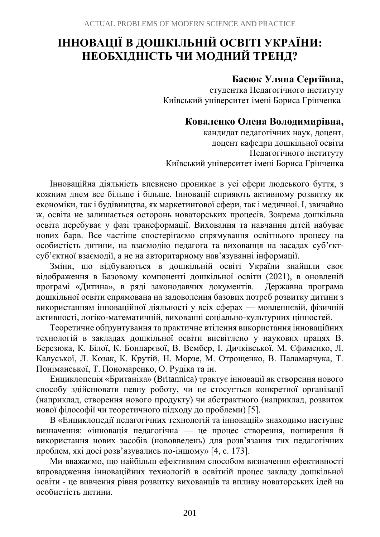# <span id="page-10-0"></span>**ІННОВАЦІЇ В ДОШКІЛЬНІЙ ОСВІТІ УКРАЇНИ: НЕОБХІДНІСТЬ ЧИ МОДНИЙ ТРЕНД?**

# **Басюк Уляна Сергіївна,**

студентка Педагогічного інституту Київський університет імені Бориса Грінченка

# **Коваленко Олена Володимирівна,**

кандидат педагогічних наук, доцент, доцент кафедри дошкільної освіти Педагогічного інституту Київський університет імені Бориса Грінченка

Інноваційна діяльність впевнено проникає в усі сфери людського буття, з кожним днем все більше і більше. Інновації сприяють активному розвитку як економіки, так і будівництва, як маркетингової сфери, так і медичної. І, звичайно ж, освіта не залишається осторонь новаторських процесів. Зокрема дошкільна освіта перебуває у фазі трансформації. Виховання та навчання дітей набуває нових барв. Все частіше спостерігаємо спрямування освітнього процесу на особистість дитини, на взаємодію педагога та вихованця на засадах суб'єктсуб'єктної взаємодії, а не на авторитарному нав'язуванні інформації.

Зміни, що відбуваються в дошкільній освіті України знайшли своє відображення в Базовому компоненті дошкільної освіти (2021), в оновленій програмі «Дитина», в ряді законодавчих документів. Державна програма дошкільної освіти спрямована на задоволення базових потреб розвитку дитини з використанням інноваційної діяльності у всіх сферах — мовленнєвій, фізичній активності, логіко-математичній, вихованні соціально-культурних цінностей.

Теоретичне обґрунтування та практичне втілення використання інноваційних технологій в закладах дошкільної освіти висвітлено у наукових працях В. Березюка, К. Білої, К. Бондарєвої, В. Вембер, І. Дичківської, М. Єфименко, Л. Калуської, Л. Козак, К. Крутій, Н. Морзе, М. Отрощенко, В. Паламарчука, Т. Поніманської, Т. Пономаренко, О. Рудіка та ін.

Енциклопеція «Британіка» (Britannica) трактує інновації як створення нового способу здійснювати певну роботу, чи це стосується конкретної організації (наприклад, створення нового продукту) чи абстрактного (наприклад, розвиток нової філософії чи теоретичного підходу до проблеми) [5].

В «Енциклопедії педагогічних технологій та інновацій» знаходимо наступне визначення: «інновація педагогічна — це процес створення, поширення й використання нових засобів (нововведень) для розв'язання тих педагогічних проблем, які досі розв'язувались по-іншому» [4, с. 173].

Ми вважаємо, що найбільш ефективним способом визначення ефективності впровадження інноваційних технологій в освітній процес закладу дошкільної освіти - це вивчення рівня розвитку вихованців та впливу новаторських ідей на особистість дитини.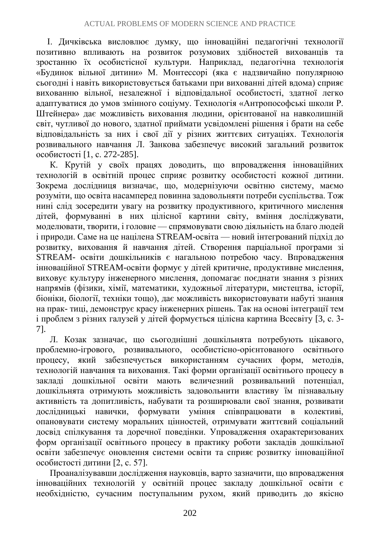І. Дичківська висловлює думку, що інноваційні педагогічні технології позитивно впливають на розвиток розумових здібностей вихованців та зростанню їх особистісної культури. Наприклад, педагогічна технологія «Будинок вільної дитини» М. Монтессорі (яка є надзвичайно популярною сьогодні і навіть використовується батьками при вихованні дітей вдома) сприяє вихованню вільної, незалежної і відповідальної особистості, здатної легко адаптуватися до умов змінного соціуму. Технологія «Антропософські школи Р. Штейнера» дає можливість виховання людини, орієнтованої на навколишній світ, чутливої до нового, здатної приймати усвідомлені рішення і брати на себе відповідальність за них і свої дії у різних життєвих ситуаціях. Технологія розвивального навчання Л. Занкова забезпечує високий загальний розвиток особистості [1, с. 272-285].

К. Крутій у своїх працях доводить, що впровадження інноваційних технологій в освітній процес сприяє розвитку особистості кожної дитини. Зокрема дослідниця визначає, що, модернізуючи освітню систему, маємо розуміти, що освіта насамперед повинна задовольняти потреби суспільства. Тож нині слід зосередити увагу на розвитку продуктивного, критичного мислення дітей, формуванні в них цілісної картини світу, вміння досліджувати, моделювати, творити, і головне — спрямовувати свою діяльність на благо людей і природи. Саме на це націлена STREAM-освіта — новий інтегрований підхід до розвитку, виховання й навчання дітей. Створення парціальної програми зі STREAM- освіти дошкільників є нагальною потребою часу. Впровадження інноваційної STREAM-освіти формує у дітей критичне, продуктивне мислення, виховує культуру інженерного мислення, допомагає поєднати знання з різних напрямів (фізики, хімії, математики, художньої літератури, мистецтва, історії, біоніки, біології, техніки тощо), дає можливість використовувати набуті знання на прак- тиці, демонструє красу інженерних рішень. Так на основі інтеграції тем і проблем з різних галузей у дітей формується цілісна картина Всесвіту [3, с. 3- 7].

Л. Козак зазначає, що сьогоднішні дошкільнята потребують цікавого, проблемно-ігрового, розвивального, особистісно-орієнтованого освітнього процесу, який забезпечується використанням сучасних форм, методів, технологій навчання та виховання. Такі форми організації освітнього процесу в закладі дошкільної освіти мають величезний розвивальний потенціал, дошкільнята отримують можливість задовольнити властиву їм пізнавальну активність та допитливість, набувати та розширювали свої знання, розвивати дослідницькі навички, формувати уміння співпрацювати в колективі, опановувати систему моральних цінностей, отримувати життєвий соціальний досвід спілкування та доречної поведінки. Упровадження охарактеризованих форм організації освітнього процесу в практику роботи закладів дошкільної освіти забезпечує оновлення системи освіти та сприяє розвитку інноваційної особистості дитини [2, с. 57].

Проаналізувавши дослідження науковців, варто зазначити, що впровадження інноваційних технологій у освітній процес закладу дошкільної освіти є необхідністю, сучасним поступальним рухом, який приводить до якісно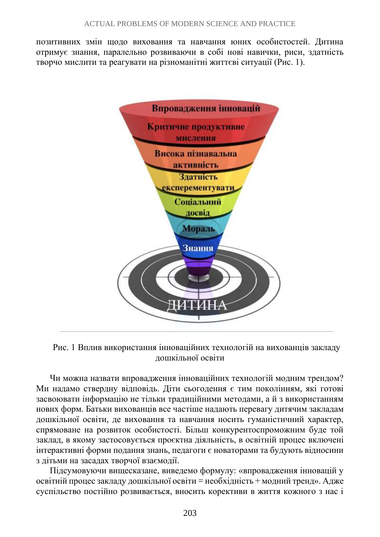позитивних змін щодо виховання та навчання юних особистостей. Дитина отримує знання, паралельно розвиваючи в собі нові навички, риси, здатність творчо мислити та реагувати на різноманітні життєві ситуації (Рис. 1).



Рис. 1 Вплив використання інноваційних технологій на вихованців закладу дошкільної освіти

Чи можна назвати впровадження інноваційних технологій модним трендом? Ми надамо ствердну відповідь. Діти сьогодення є тим поколінням, які готові засвоювати інформацію не тільки традиційними методами, а й з використанням нових форм. Батьки вихованців все частіше надають перевагу дитячим закладам дошкільної освіти, де виховання та навчання носить гуманістичний характер, спрямоване на розвиток особистості. Більш конкурентоспроможним буде той заклад, в якому застосовується проєктна діяльність, в освітній процес включені інтерактивні форми подання знань, педагоги є новаторами та будують відносини з дітьми на засадах творчої взаємодії.

Підсумовуючи вищесказане, виведемо формулу: «впровадження інновацій у освітній процес закладу дошкільної освіти = необхідність + модний тренд». Адже суспільство постійно розвивається, вносить корективи в життя кожного з нас і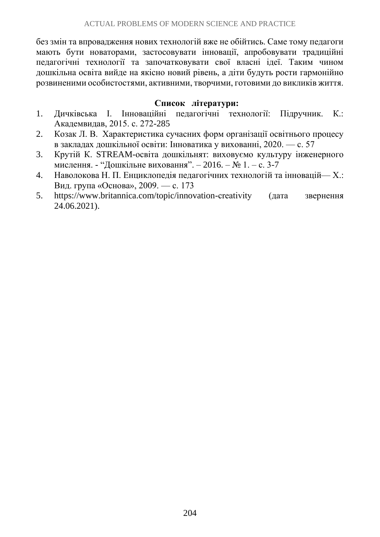без змін та впровадження нових технологій вже не обійтись. Саме тому педагоги мають бути новаторами, застосовувати інновації, апробовувати традиційні педагогічні технології та започатковувати свої власні ідеї. Таким чином дошкільна освіта вийде на якісно новий рівень, а діти будуть рости гармонійно розвиненими особистостями, активними, творчими, готовими до викликів життя.

#### **Список літератури:**

- 1. Дичківська І. Інноваційні педагогічні технології: Підручник. К.: Академвидав, 2015. с. 272-285
- 2. Козак Л. В. Характеристика сучасних форм організації освітнього процесу в закладах дошкільної освіти: Інноватика у вихованні, 2020. — с. 57
- 3. Крутій К. STREAM-освіта дошкільнят: виховуємо культуру інженерного мислення. - "Дошкільне виховання". – 2016. – № 1. – с. 3-7
- 4. Наволокова Н. П. Енциклопедія педагогічних технологій та інновацій— Х.: Вид. група «Основа», 2009. — с. 173
- 5. https://www.britannica.com/topic/innovation-creativity (дата звернення 24.06.2021).